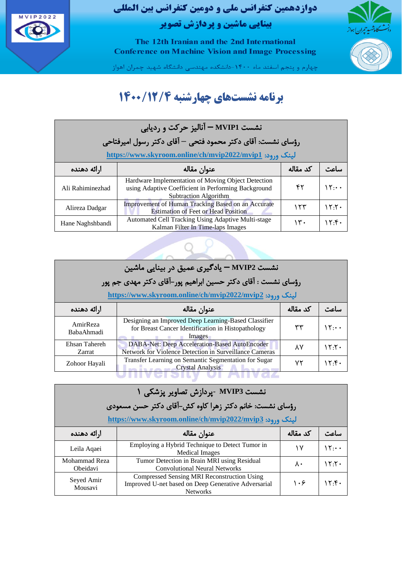

The 12th Iranian and the 2nd International **Conference on Machine Vision and Image Processing** 



چهارم و پنجم اسفند ماه ۱۴۰۰-دانشکده مهندسی دانشگاه شهید چمران اهواز

### **برنامه نشستهای چهارشنبه 1400/12/4**

| نشست MVIP1 - آنالیز حرکت و ردیابی<br>رؤسای نشست: آقای دکتر محمود فتحی – آقای دکتر رسول امپرفتاحی<br>لینک ورود: https://www.skyroom.online/ch/mvip2022/mvip1 |                                                                                                                                           |          |                         |
|-------------------------------------------------------------------------------------------------------------------------------------------------------------|-------------------------------------------------------------------------------------------------------------------------------------------|----------|-------------------------|
| ارائه دهنده                                                                                                                                                 | عنوان مقاله                                                                                                                               | کد مقاله |                         |
| Ali Rahiminezhad                                                                                                                                            | Hardware Implementation of Moving Object Detection<br>using Adaptive Coefficient in Performing Background<br><b>Subtraction Algorithm</b> | ۴۲       | $\mathcal{N}$ : $\cdot$ |
| Alireza Dadgar                                                                                                                                              | Improvement of Human Tracking Based on an Accurate<br><b>Estimation of Feet or Head Position</b>                                          | ۱۲۳      | ۱۲۰۲۰                   |
| Hane Naghshbandi                                                                                                                                            | Automated Cell Tracking Using Adaptive Multi-stage<br>Kalman Filter In Time-laps Images                                                   | ۱۳.      | 15.6                    |

|                         | نشست MVIP2 — یادگیری عمیق در بینایی ماشین                                                                            |          |               |  |
|-------------------------|----------------------------------------------------------------------------------------------------------------------|----------|---------------|--|
|                         | رؤسای نشست : آقای دکتر حسین ابراهیم پور-آقای دکتر مهدی جم پور                                                        |          |               |  |
|                         | لینک ورود: https://www.skyroom.online/ch/mvip2022/mvip2                                                              |          |               |  |
| ارائه دهنده             | عنوان مقاله                                                                                                          | کد مقاله |               |  |
| AmirReza<br>BabaAhmadi  | Designing an Improved Deep Learning-Based Classifier<br>for Breast Cancer Identification in Histopathology<br>Images | ٣٣       | $\mathcal{N}$ |  |
| Ehsan Tahereh<br>Zarrat | DABA-Net: Deep Acceleration-Based AutoEncoder<br>Network for Violence Detection in Surveillance Cameras              | ٨٧       | 15.7.         |  |
| Zohoor Hayali           | Transfer Learning on Semantic Segmentation for Sugar<br><b>Crystal Analysis</b>                                      | ۷۲       | ۱۲۰۴۰         |  |

|                           | نشست MVIP3 -یردازش تصاویر پزشکی ۱                                                                                     |          |               |
|---------------------------|-----------------------------------------------------------------------------------------------------------------------|----------|---------------|
|                           | رؤسای نشست: خانم دکتر زهرا کاوه کش-آقای دکتر حسن مسعودی                                                               |          |               |
|                           | لینک ورود: https://www.skyroom.online/ch/mvip2022/mvip3                                                               |          |               |
| ارائه دهنده               | عنوان مقاله                                                                                                           | کد مقاله | لباعث         |
| Leila Aqaei               | Employing a Hybrid Technique to Detect Tumor in<br><b>Medical Images</b>                                              | ۱۷       | $\mathcal{N}$ |
| Mohammad Reza<br>Obeidavi | Tumor Detection in Brain MRI using Residual<br><b>Convolutional Neural Networks</b>                                   | ٨٠       | 15.7.         |
| Seyed Amir<br>Mousavi     | Compressed Sensing MRI Reconstruction Using<br>Improved U-net based on Deep Generative Adversarial<br><b>Networks</b> | ۱۰۶      | ۱۲۰۴۰         |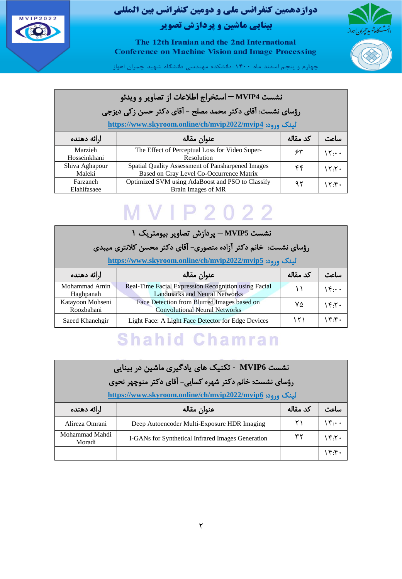



The 12th Iranian and the 2nd International **Conference on Machine Vision and Image Processing** 

چهارم و پنجم اسفند ماه ۱۴۰۰-دانشکده مهندسی دانشگاه شهید چمران اهواز

#### نشست **4MVIP –** استخراج اطالعات از تصاویر و ویدئو رؤسای نشست: آقای دکتر محمد مصلح - آقای دکتر حسن زکی دیزجی

**<https://www.skyroom.online/ch/mvip2022/mvip4>** :ورود لینک

| ارائه دهنده              | عنوان مقاله                                                                                   | کد مقاله | ساعت   |
|--------------------------|-----------------------------------------------------------------------------------------------|----------|--------|
| Marzieh<br>Hosseinkhani  | The Effect of Perceptual Loss for Video Super-<br>Resolution                                  | ۶۳       | ۱۲۰۰۰  |
| Shiva Aghapour<br>Maleki | Spatial Quality Assessment of Pansharpened Images<br>Based on Gray Level Co-Occurrence Matrix | ۴۴       | ۲۰:۲۰  |
| Farzaneh<br>Elahifasaee  | Optimized SVM using AdaBoost and PSO to Classify<br>Brain Images of MR                        | ۹۲       | ، ۲۰۴۰ |

# **MVIP2022**

| نشست MVIP5 – پردازش تصاویر بیومتریک ۱ |                                                                                              |          |              |
|---------------------------------------|----------------------------------------------------------------------------------------------|----------|--------------|
|                                       | رؤسای نشست: خانم دکتر آزاده منصوری- آقای دکتر محسن کلانتری میبدی                             |          |              |
|                                       | لینک ورود: https://www.skyroom.online/ch/mvip2022/mvip5                                      |          |              |
| ارائه دهنده                           | عنوان مقاله                                                                                  | کد مقاله |              |
| Mohammad Amin<br>Haghpanah            | Real-Time Facial Expression Recognition using Facial<br><b>Landmarks and Neural Networks</b> |          | $1 + \cdots$ |
| Katayoon Mohseni<br>Roozbahani        | Face Detection from Blurred Images based on<br><b>Convolutional Neural Networks</b>          | ۷۵       | ۱۴۰۲۰        |
| Saeed Khanehgir                       | Light Face: A Light Face Detector for Edge Devices                                           | ۱۲۱      | 15.6         |

# **Shahid Chamran**

|                                                    | نشست MVIP6 - تکنیک های یادگیری ماشین در بینایی                                                                     |    |              |  |
|----------------------------------------------------|--------------------------------------------------------------------------------------------------------------------|----|--------------|--|
|                                                    | رؤسای نشست: خانم دکتر شهره کسایی- آقای دکتر منوچهر نحوی<br>لینک ورود: https://www.skyroom.online/ch/mvip2022/mvip6 |    |              |  |
| کد مقاله<br>عنوان مقاله<br>ارائه دهنده<br>. اء. "، |                                                                                                                    |    |              |  |
| Alireza Omrani                                     | Deep Autoencoder Multi-Exposure HDR Imaging                                                                        | ۲۱ | $1 + \cdots$ |  |
| Mohammad Mahdi<br>Moradi                           | I-GANs for Synthetical Infrared Images Generation                                                                  | ۳۲ | 15.7.        |  |
|                                                    |                                                                                                                    |    | 15.6         |  |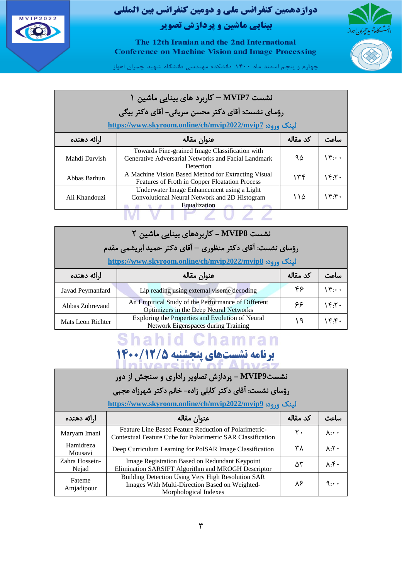



The 12th Iranian and the 2nd International **Conference on Machine Vision and Image Processing** 

چهارم و پنجم اسفند ماه ۱۴۰۰-دانشکده مهندسی دانشگاه شهید چمران اهواز

#### نشست **7MVIP –** کاربرد های بینای ی ماشین 1 رؤسای نشست: آقای دکتر محسن سریانی - آقای دکتر بیگی

**<https://www.skyroom.online/ch/mvip2022/mvip7>** :ورود لینک

| ارائه دهنده   | عنوان مقاله                                                                                                        | کد مقاله | ساعت   |
|---------------|--------------------------------------------------------------------------------------------------------------------|----------|--------|
| Mahdi Darvish | Towards Fine-grained Image Classification with<br>Generative Adversarial Networks and Facial Landmark<br>Detection | ۹۵       | ۱۴۰۰۰  |
| Abbas Barhun  | A Machine Vision Based Method for Extracting Visual<br>Features of Froth in Copper Floatation Process              | ۱۳۴      | ، ۲۰۲  |
| Ali Khandouzi | Underwater Image Enhancement using a Light<br>Convolutional Neural Network and 2D Histogram<br>Equalization        | ۱۱۵      | ، ۱۴۰۴ |
|               |                                                                                                                    |          |        |

|                   | نشست MVIP8 – کاربردهای بینایی ماشین ۲                                                        |          |       |  |
|-------------------|----------------------------------------------------------------------------------------------|----------|-------|--|
|                   | رؤسای نشست: آقای دکتر منظوری — آقای دکتر حمید ابریشمی مقدم                                   |          |       |  |
|                   | لینک ورود: https://www.skyroom.online/ch/mvip2022/mvip8                                      |          |       |  |
| ارائه دهنده       | عنوان مقاله                                                                                  | کد مقاله |       |  |
| Javad Peymanfard  | Lip reading using external viseme decoding                                                   | ۴۶       | 15    |  |
| Abbas Zohrevand   | An Empirical Study of the Performance of Different<br>Optimizers in the Deep Neural Networks | ۶۶       | 15.7. |  |
| Mats Leon Richter | Exploring the Properties and Evolution of Neural<br>Network Eigenspaces during Training      | ۱۹       | 15.5  |  |

### **Shahid Chamran برنامه نشستهای پنجشنبه ۱۴۰۰/12/5**<br>محمد استهای برنامههای مورد است

| نشستMVIP9 – پردازش تصاویر راداری و سنجش از دور<br>رؤسای نشست: آقای دکتر کابلی زاده- خانم دکتر شهرزاد عجبی<br>لینک ورود: https://www.skyroom.online/ch/mvip2022/mvip9 |                                                                                                                              |          |                                |
|----------------------------------------------------------------------------------------------------------------------------------------------------------------------|------------------------------------------------------------------------------------------------------------------------------|----------|--------------------------------|
| ارائه دهنده                                                                                                                                                          | عنوان مقاله                                                                                                                  | کد مقاله | ساءت                           |
| Maryam Imani                                                                                                                                                         | Feature Line Based Feature Reduction of Polarimetric-<br>Contextual Feature Cube for Polarimetric SAR Classification         | ٢٠       | $\Lambda \cdot \cdot \cdot$    |
| Hamidreza<br>Mousavi                                                                                                                                                 | Deep Curriculum Learning for PolSAR Image Classification                                                                     | ۳۸       | $\Lambda \cdot Y$              |
| Zahra Hossein-<br>Nejad                                                                                                                                              | Image Registration Based on Redundant Keypoint<br>Elimination SARSIFT Algorithm and MROGH Descriptor                         | ۵٣       | $\lambda \cdot \mathfrak{f}$ . |
| Fateme<br>Amjadipour                                                                                                                                                 | Building Detection Using Very High Resolution SAR<br>Images With Multi-Direction Based on Weighted-<br>Morphological Indexes | ۸۶       | $9 \cdots$                     |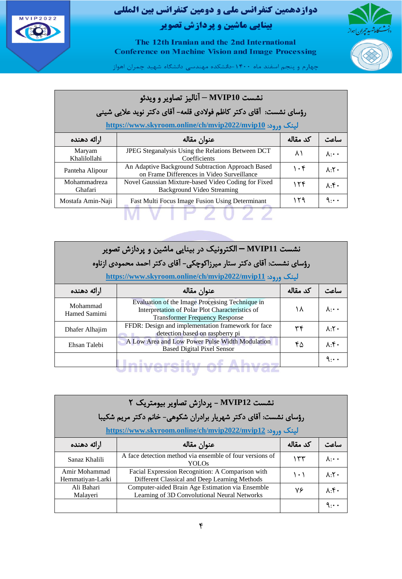

The 12th Iranian and the 2nd International **Conference on Machine Vision and Image Processing** 

.<br>چهارم و پنجم اسفند ماه ۱۴۰۰–دانشکده مهندسی دانشگاه شهید چمران اهواز

#### نشست **10MVIP –** آنالی ز تصاویر و وید ئو رؤسای نشست: آقای دکتر کاظم فوالدی قلعه - آقای دکتر نوید عالیی شینی

**<https://www.skyroom.online/ch/mvip2022/mvip10>** :ورود لینک

| ارائه دهنده             | عنوان مقاله                                                                                     | کد مقاله  | ساعت                        |
|-------------------------|-------------------------------------------------------------------------------------------------|-----------|-----------------------------|
| Maryam<br>Khalilollahi  | JPEG Steganalysis Using the Relations Between DCT<br>Coefficients                               | ۸۱        | $\Lambda \cdot \cdot \cdot$ |
| Panteha Alipour         | An Adaptive Background Subtraction Approach Based<br>on Frame Differences in Video Surveillance | $\cdot$ ۴ | $\Lambda$ . $\mathsf{Y}$ .  |
| Mohammadreza<br>Ghafari | Novel Gaussian Mixture-based Video Coding for Fixed<br><b>Background Video Streaming</b>        | ۱۲۴       | $\lambda \cdot$ .           |
| Mostafa Amin-Naji       | Fast Multi Focus Image Fusion Using Determinant                                                 | ۱۲۹       | $9 \cdots$                  |
|                         |                                                                                                 |           |                             |

| نشست MVIP11 — الکترونیک در بینایی ماشین و پردازش تصویر<br>رؤسای نشست: آقای دکتر ستار میرزاکوچکی- آقای دکتر احمد محمودی ازناوه<br>لینک ورود: https://www.skyroom.online/ch/mvip2022/mvip11 |                                                                                                                                             |          |                             |
|-------------------------------------------------------------------------------------------------------------------------------------------------------------------------------------------|---------------------------------------------------------------------------------------------------------------------------------------------|----------|-----------------------------|
| ارائه دهنده                                                                                                                                                                               | عنوان مقاله                                                                                                                                 | کد مقاله |                             |
| Mohammad<br>Hamed Samimi                                                                                                                                                                  | Evaluation of the Image Processing Technique in<br>Interpretation of Polar Plot Characteristics of<br><b>Transformer Frequency Response</b> | ۱۸       | $\lambda \cdot \cdot \cdot$ |
| Dhafer Alhajim                                                                                                                                                                            | FFDR: Design and implementation framework for face<br>detection based on raspberry pi                                                       | ٣۴       | $\Lambda \cdot Y$           |
| Ehsan Talebi                                                                                                                                                                              | A Low Area and Low Power Pulse Width Modulation<br><b>Based Digital Pixel Sensor</b>                                                        | ۴۵       | $\lambda \cdot f$ .         |
|                                                                                                                                                                                           |                                                                                                                                             |          | ۹.۰۰                        |

| نشست MVIP12 - یردازش تصاویر بیومتریک ۲<br>رؤسای نشست: آقای دکتر شهریار برادران شکوهی- خانم دکتر مریم شکیبا<br>لینک ورود: https://www.skyroom.online/ch/mvip2022/mvip12 |                                                                                                   |          |                              |
|------------------------------------------------------------------------------------------------------------------------------------------------------------------------|---------------------------------------------------------------------------------------------------|----------|------------------------------|
| ارائه دهنده                                                                                                                                                            | عنوان مقاله                                                                                       | کد مقاله | ساءت                         |
| Sanaz Khalili                                                                                                                                                          | A face detection method via ensemble of four versions of<br>YOLOs                                 | ۱۳۳      | $\Lambda \cdot \cdot \cdot$  |
| Amir Mohammad<br>Hemmatiyan-Larki                                                                                                                                      | Facial Expression Recognition: A Comparison with<br>Different Classical and Deep Learning Methods | ۱۰۱      | $\Lambda$ . $\mathsf{Y}$ .   |
| Ali Bahari<br>Malayeri                                                                                                                                                 | Computer-aided Brain Age Estimation via Ensemble<br>Learning of 3D Convolutional Neural Networks  | ٧۶       | $\Lambda \cdot \mathfrak{F}$ |
|                                                                                                                                                                        |                                                                                                   |          | $9 \cdots$                   |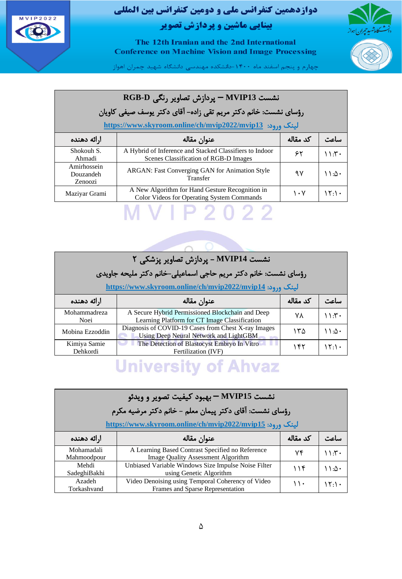



The 12th Iranian and the 2nd International **Conference on Machine Vision and Image Processing** 

چهارم و پنجم اسفند ماه ۱۴۰۰-دانشکده مهندسی دانشگاه شهید چمران اهواز

### نشست **13MVIP –** پردازش تصاویر رنگی **D-RGB** رؤسای نشست: خانم دکتر مریم تقی زاده - آقای دکتر یوسف صیفی کاویان

**<https://www.skyroom.online/ch/mvip2022/mvip13>** :ورود لینک

| ارائه دهنده                         | عنوان مقاله                                                                                      | کد مقاله | ساعت    |
|-------------------------------------|--------------------------------------------------------------------------------------------------|----------|---------|
| Shokouh S.<br>Ahmadi                | A Hybrid of Inference and Stacked Classifiers to Indoor<br>Scenes Classification of RGB-D Images | ۶۲       | ۲۰:۱۱   |
| Amirhossein<br>Douzandeh<br>Zenoozi | ARGAN: Fast Converging GAN for Animation Style<br>Transfer                                       | ۹۷       | ۰∆۱۰ ۱  |
| Maziyar Grami                       | A New Algorithm for Hand Gesture Recognition in<br>Color Videos for Operating System Commands    | ۱۰۷      | ۱۲۰۱۰ م |
|                                     |                                                                                                  |          |         |

| نشست MVIP14 - یردازش تصاویر پزشکی ۲                      |                                                                                                   |          |       |  |
|----------------------------------------------------------|---------------------------------------------------------------------------------------------------|----------|-------|--|
|                                                          | رؤسای نشست: خانم دکتر مریم حاجی اسماعیلی-خانم دکتر ملیحه جاویدی                                   |          |       |  |
| لینک ورود: https://www.skyroom.online/ch/mvip2022/mvip14 |                                                                                                   |          |       |  |
| ارائه دهنده                                              | عنوان مقاله                                                                                       | كد مقاله |       |  |
| Mohammadreza<br>Noei                                     | A Secure Hybrid Permissioned Blockchain and Deep<br>Learning Platform for CT Image Classification | ۷۸       | ۰۳۰ ۱ |  |
| Mobina Ezzoddin                                          | Diagnosis of COVID-19 Cases from Chest X-ray Images<br>Using Deep Neural Network and LightGBM     | ۱۳۵      | ۱۱۰۸۰ |  |
| Kimiya Samie<br>Dehkordi                                 | The Detection of Blastocyst Embryo In Vitro<br>Fertilization (IVF)                                | ۱۴۲      | 15.1. |  |

### **University of Ahvaz**

| نشست MVIP15 – بهبود کیفیت تصویر و ویدئو |                                                                                        |          |        |  |
|-----------------------------------------|----------------------------------------------------------------------------------------|----------|--------|--|
|                                         | رؤسای نشست: آقای دکتر پیمان معلم – خانم دکتر مرضیه مکرم                                |          |        |  |
|                                         | لینک ورود: https://www.skyroom.online/ch/mvip2022/mvip15                               |          |        |  |
| ارائه دهنده                             | عنوان مقاله                                                                            | کد مقاله | …اء."، |  |
| Mohamadali<br>Mahmoodpour               | A Learning Based Contrast Specified no Reference<br>Image Quality Assessment Algorithm | ۷۴       | 11.5   |  |
| Mehdi<br>SadeghiBakhi                   | Unbiased Variable Windows Size Impulse Noise Filter<br>using Genetic Algorithm         | 116      | ۱۱:۵۰  |  |
| Azadeh<br>Torkashvand                   | Video Denoising using Temporal Coherency of Video<br>Frames and Sparse Representation  | ۱۱۰      | ۱۲۰۱۰  |  |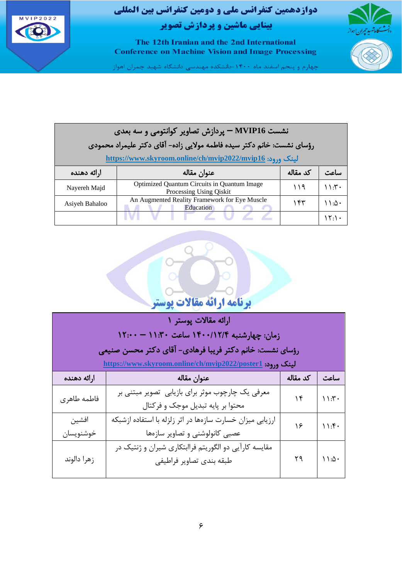



The 12th Iranian and the 2nd International **Conference on Machine Vision and Image Processing** 

.<br>چهارم و پنجم اسفند ماه ۱۴۰۰-دانشکده مهندسی دانشگاه شهید چمران اهواز

| نشست MVIP16 – پردازش تصاویر کوانتومی و سه بعدی                  |                                                                        |          |       |  |
|-----------------------------------------------------------------|------------------------------------------------------------------------|----------|-------|--|
|                                                                 | رؤسای نشست: خانم دکتر سیده فاطمه مولایی زاده- آقای دکتر علیمراد محمودی |          |       |  |
| <u>لینک ورود: https://www.skyroom.online/ch/mvip2022/mvip16</u> |                                                                        |          |       |  |
| ارائه دهنده                                                     | عنوان مقاله                                                            | كد مقاله | ساءت  |  |
| Nayereh Majd                                                    | Optimized Quantum Circuits in Quantum Image<br>Processing Using Oiskit | ۱۱۹      | ۰۳۰ ۱ |  |
| Asiyeh Bahaloo                                                  | An Augmented Reality Framework for Eye Muscle<br><b>Education</b>      | ۱۴۳      | ۱۱։۵۰ |  |
|                                                                 |                                                                        |          | ۱۲۰۱۰ |  |



| ارائه مقالات پوستر ١ |                                                                  |          |       |  |
|----------------------|------------------------------------------------------------------|----------|-------|--|
|                      |                                                                  |          |       |  |
|                      | زمان: چهارشنبه ۱۴۰۰/۱۲/۴ ساعت ۱۱:۳۰ — ۱۲:۰۰                      |          |       |  |
|                      | رؤسای نشست: خانم دکتر فریبا فرهادی- آقای دکتر محسن صنیعی         |          |       |  |
|                      | <u>لینک ورود: https://www.skyroom.online/ch/mvip2022/poster1</u> |          |       |  |
| ارائه دهنده          | عنوان مقاله                                                      | كد مقاله | ساعت  |  |
|                      | معرفی یک چارچوب موثر برای بازیابی تصویر مبتنی بر                 | ۱۴       | 11.5  |  |
| فاطمه طاهرى          | محتوا بر پایه تبدیل موجک و فرکتال                                |          |       |  |
| افشين                | ارزیابی میزان خسارت سازهها در اثر زلزله با استفاده ازشبکه        | ۱۶       | 11.5  |  |
| خوشنويسان            | عصبی کانولوشنی و تصاویر سازهها                                   |          |       |  |
| زهرا دالوند          | مقایسه کارآیی دو الگوریتم فراابتکاری شیران و ژنتیک در            |          |       |  |
|                      | طبقه بندى تصاوير فراطيفي                                         | ۲۹       | ۱۱:۵۰ |  |
|                      |                                                                  |          |       |  |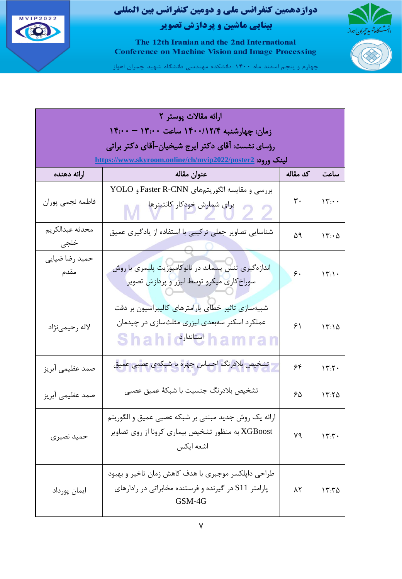



The 12th Iranian and the 2nd International **Conference on Machine Vision and Image Processing** 

.<br>چهارم و پنجم اسفند ماه ۱۴۰۰–دانشکده مهندسی دانشگاه شهید چمران اهواز

| ارائه مقالات پوستر ٢                        |                                                                                                                               |          |                      |  |
|---------------------------------------------|-------------------------------------------------------------------------------------------------------------------------------|----------|----------------------|--|
| زمان: چهارشنبه ۱۴۰۰/۱۲/۴ ساعت ۱۳:۰۰ – ۱۴:۰۰ |                                                                                                                               |          |                      |  |
|                                             | رؤسای نشست: آقای دکتر ایرج شیخیان-آقای دکتر براتی                                                                             |          |                      |  |
|                                             | <u>لینک ورود: https://www.skyroom.online/ch/mvip2022/poster2</u>                                                              |          |                      |  |
| ارائه دهنده                                 | عنوان مقاله                                                                                                                   | كد مقاله | ساعت                 |  |
| فاطمه نجمى پوران                            | بررسي و مقايسه الگوريتمهاي Faster R-CNN و YOLO<br>برای شمارش خودکار کانتینرها                                                 | ٣٠       | $\mathcal{W}$ :      |  |
| محدثه عبدالكريم<br>خلجى                     | شناسایی تصاویر جعلی ترکیبی با استفاده از یادگیری عمیق                                                                         | ۵۹       | $\mathcal{N}:\Delta$ |  |
| حميد رضا ضيايي<br>مقدم                      | اندازهگیری تنش پسماند در نانوکامپوزیت پلیمری با روش<br>سوراخ کاری میکرو توسط لیزر و پردازش تصویر                              | ۶.       | $\Upsilon$ :\.       |  |
| لاله رحيمي نژاد                             | شبیهسازی تاثیر خطای پارامترهای کالیبراسیون بر دقت<br>عملکرد اسکنر سهبعدی لیزری مثلثسازی در چیدمان<br>Shahio <sup>Juju</sup> k | ۶۱       | $\Upsilon$ :۱۵       |  |
| صمد عظیمی آبریز                             | تشخیص بلادرنگ احساس چهره با شبکهی عصبی ع <mark>میق</mark>                                                                     | ۶۴       | 15.7.                |  |
| صمد عظیمی آبریز                             | تشخيص بلادرنگ جنسيت با شبكهٔ عميق عصبي                                                                                        | ۶۵       | ۱۳:۲۵                |  |
| حميد نصيري                                  | ارائه یک روش جدید مبتنی بر شبکه عصبی عمیق و الگوریتم<br>XGBoost به منظور تشخیص بیماری کرونا از روی تصاویر<br>اشعه ايكس        | ٧٩       | $\Upsilon$           |  |
| ايمان پورداد                                | طراحي داپلکسر موجبري با هدف کاهش زمان تاخير و بهبود<br>پارامتر S11 در گیرنده و فرستنده مخابراتی در رادارهای<br>GSM-4G         | ۸٢       | ۱۳:۳۵                |  |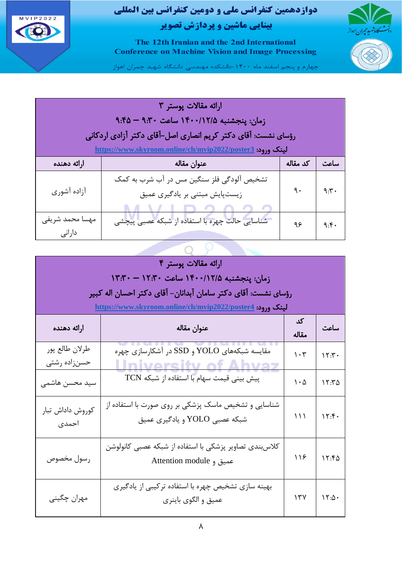



The 12th Iranian and the 2nd International **Conference on Machine Vision and Image Processing** 

چهارم و پنجم اسفند ماه ۱۴۰۰-دانشکده مهندسی دانشگاه شهید چمران اهواز

| ارائه مقالات پوستر ٣                                             |                                                               |          |      |  |
|------------------------------------------------------------------|---------------------------------------------------------------|----------|------|--|
|                                                                  | زمان: پنجشنبه ۱۴۰۰/۱۲/۵ ساعت ۹:۴۵ - ۹:۴۵                      |          |      |  |
|                                                                  | رؤسای نشست: آقای دکتر کریم انصاری اصل-آقای دکتر آزادی اردکانی |          |      |  |
| <u>لینک ورود: https://www.skyroom.online/ch/mvip2022/poster3</u> |                                                               |          |      |  |
| ارائه دهنده                                                      | عنوان مقاله                                                   | كد مقاله | ساعت |  |
|                                                                  | تشخیص آلودگی فلز سنگین مس در آب شرب به کمک                    |          |      |  |
| آزاده آشوري                                                      | زیستپایش مبتنی بر یادگیری عمیق                                | ٩.       | 9.5  |  |
|                                                                  |                                                               |          |      |  |
| مهسا محمد شريفي                                                  | شناسایی حالت چهره با استفاده از شبکه عصبی پیچشی               | ۹۶       | 9.6  |  |
| دارانى                                                           |                                                               |          |      |  |
|                                                                  |                                                               |          |      |  |

| ارائه مقالات پوستر ۴           |                                                                                       |                |                            |  |  |
|--------------------------------|---------------------------------------------------------------------------------------|----------------|----------------------------|--|--|
|                                | زمان: پنجشنبه ۱۴۰۰/۱۲/۵ ساعت ۱۲:۳۰ – ۱۳:۳۰                                            |                |                            |  |  |
|                                | رؤساي نشست: آقاي دكتر سامان آبدانان– آقاي دكتر احسان اله كبير                         |                |                            |  |  |
|                                | <u>لینک ورود: https://www.skyroom.online/ch/mvip2022/poster4</u>                      |                |                            |  |  |
| ارائه دهنده                    | عنوان مقاله                                                                           | کد<br>مقاله    | ساعت                       |  |  |
| طرلان طالع پور<br>حسنزاده رشتى | مقایسه شبکههای YOLO و SSD در آشکارسازی چهره<br><b>Ilniversity of Ahya</b>             | $\cdot$ ٣      | 15.7.                      |  |  |
| سید محسن هاشمی                 | پیش بینی قیمت سهام با استفاده از شبکه TCN                                             | $\cdot \Delta$ | $\lambda$ $\tau$ $\Lambda$ |  |  |
| كوروش داداش تبار<br>احمدى      | شناسایی و تشخیص ماسک پزشکی بر روی صورت با استفاده از<br>شبكه عصبي YOLO و يادگيري عميق | ۱۱۱            | 15.5                       |  |  |
| رسول مخصوص                     | كلاس بندى تصاوير پزشكى با استفاده از شبكه عصبى كانولوشن<br>Attention module 9         | ۱۱۶            | 15.50                      |  |  |
| مهران چگینی                    | بهینه سازی تشخیص چهره با استفاده ترکیبی از یادگیری<br>عميق و الگوي باينري             | 17V            | $\mathcal{N}:\Delta$       |  |  |